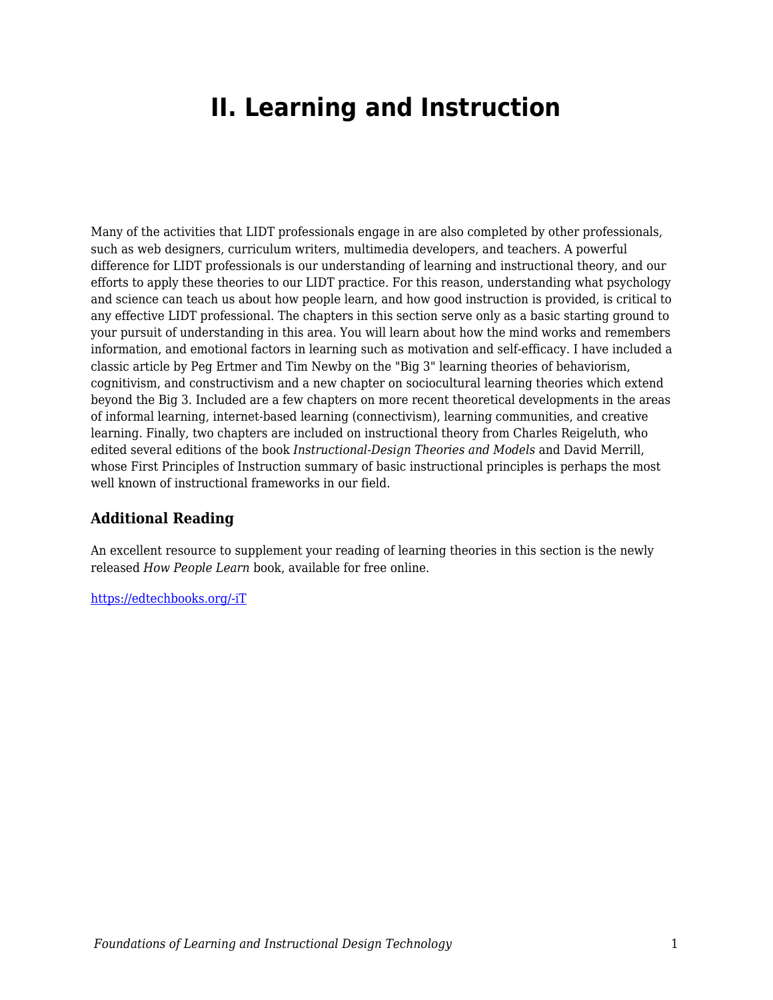## **II. Learning and Instruction**

Many of the activities that LIDT professionals engage in are also completed by other professionals, such as web designers, curriculum writers, multimedia developers, and teachers. A powerful difference for LIDT professionals is our understanding of learning and instructional theory, and our efforts to apply these theories to our LIDT practice. For this reason, understanding what psychology and science can teach us about how people learn, and how good instruction is provided, is critical to any effective LIDT professional. The chapters in this section serve only as a basic starting ground to your pursuit of understanding in this area. You will learn about how the mind works and remembers information, and emotional factors in learning such as motivation and self-efficacy. I have included a classic article by Peg Ertmer and Tim Newby on the "Big 3" learning theories of behaviorism, cognitivism, and constructivism and a new chapter on sociocultural learning theories which extend beyond the Big 3. Included are a few chapters on more recent theoretical developments in the areas of informal learning, internet-based learning (connectivism), learning communities, and creative learning. Finally, two chapters are included on instructional theory from Charles Reigeluth, who edited several editions of the book *Instructional-Design Theories and Models* and David Merrill, whose First Principles of Instruction summary of basic instructional principles is perhaps the most well known of instructional frameworks in our field.

## **Additional Reading**

An excellent resource to supplement your reading of learning theories in this section is the newly released *How People Learn* book, available for free online.

[https://edtechbooks.org/-iT](https://www.nap.edu/read/24783/chapter/1)